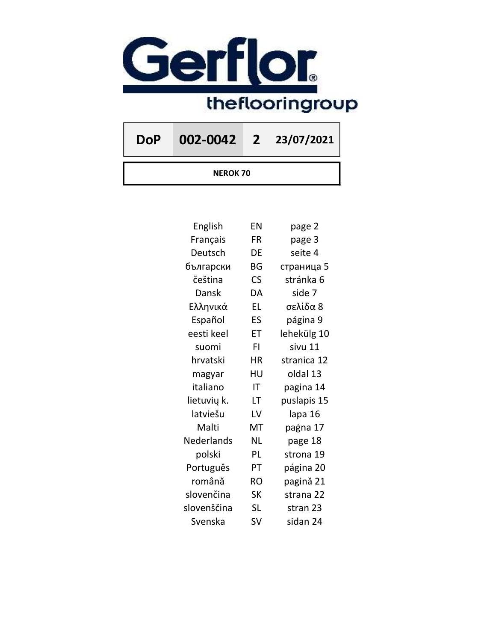

DoP 002-0042 2 23/07/2021

NEROK 70

| English     | EN        | page 2      |
|-------------|-----------|-------------|
| Français    | FR        | page 3      |
| Deutsch     | DE        | seite 4     |
| български   | BG        | страница 5  |
| čeština     | CS        | stránka 6   |
| Dansk       | DA        | side 7      |
| Ελληνικά    | <b>EL</b> | σελίδα 8    |
| Español     | ES        | página 9    |
| eesti keel  | ET        | lehekülg 10 |
| suomi       | FI        | sivu 11     |
| hrvatski    | ΗR        | stranica 12 |
| magyar      | HU        | oldal 13    |
| italiano    | IT        | pagina 14   |
| lietuvių k. | LT        | puslapis 15 |
| latviešu    | LV        | lapa 16     |
| Malti       | MT        | paġna 17    |
| Nederlands  | <b>NL</b> | page 18     |
| polski      | PL        | strona 19   |
| Português   | PT        | página 20   |
| română      | <b>RO</b> | pagină 21   |
| slovenčina  | <b>SK</b> | strana 22   |
| slovenščina | SL        | stran 23    |
| Svenska     | SV        | sidan 24    |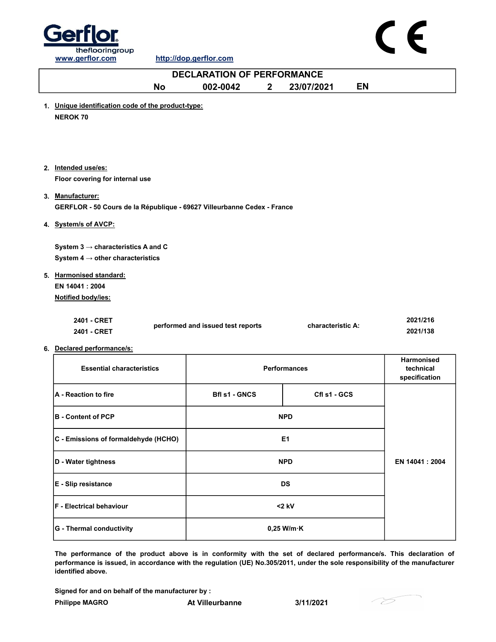

| <b>DECLARATION OF PERFORMANCE</b>                                                           |                                   |                     |                                                 |  |  |
|---------------------------------------------------------------------------------------------|-----------------------------------|---------------------|-------------------------------------------------|--|--|
| <b>No</b>                                                                                   | 002-0042<br>$\mathbf{2}$          | 23/07/2021          | <b>EN</b>                                       |  |  |
| 1. Unique identification code of the product-type:<br><b>NEROK 70</b>                       |                                   |                     |                                                 |  |  |
| 2. Intended use/es:<br>Floor covering for internal use                                      |                                   |                     |                                                 |  |  |
| 3. Manufacturer:<br>GERFLOR - 50 Cours de la République - 69627 Villeurbanne Cedex - France |                                   |                     |                                                 |  |  |
| 4. System/s of AVCP:                                                                        |                                   |                     |                                                 |  |  |
| System $3 \rightarrow$ characteristics A and C                                              |                                   |                     |                                                 |  |  |
| System $4 \rightarrow$ other characteristics                                                |                                   |                     |                                                 |  |  |
| 5. Harmonised standard:<br>EN 14041: 2004<br>Notified body/ies:                             |                                   |                     |                                                 |  |  |
| 2401 - CRET<br>2401 - CRET                                                                  | performed and issued test reports | characteristic A:   | 2021/216<br>2021/138                            |  |  |
| 6. Declared performance/s:                                                                  |                                   |                     |                                                 |  |  |
| <b>Essential characteristics</b>                                                            |                                   | <b>Performances</b> | <b>Harmonised</b><br>technical<br>specification |  |  |
| A - Reaction to fire                                                                        | <b>Bfl s1 - GNCS</b>              | Cfl s1 - GCS        |                                                 |  |  |

| <b>A</b> - Reaction to fire          | BII SI - GNUS        | UII 51 - UUS   |  |
|--------------------------------------|----------------------|----------------|--|
| <b>B</b> - Content of PCP            | <b>NPD</b>           |                |  |
| C - Emissions of formaldehyde (HCHO) | E <sub>1</sub>       |                |  |
| D - Water tightness                  | <b>NPD</b>           | EN 14041: 2004 |  |
| <b>E</b> - Slip resistance           | <b>DS</b>            |                |  |
| <b>IF - Electrical behaviour</b>     | $<$ 2 kV             |                |  |
| G - Thermal conductivity             | $0,25$ W/m $\cdot$ K |                |  |

The performance of the product above is in conformity with the set of declared performance/s. This declaration of performance is issued, in accordance with the regulation (UE) No.305/2011, under the sole responsibility of the manufacturer identified above.

Signed for and on behalf of the manufacturer by :

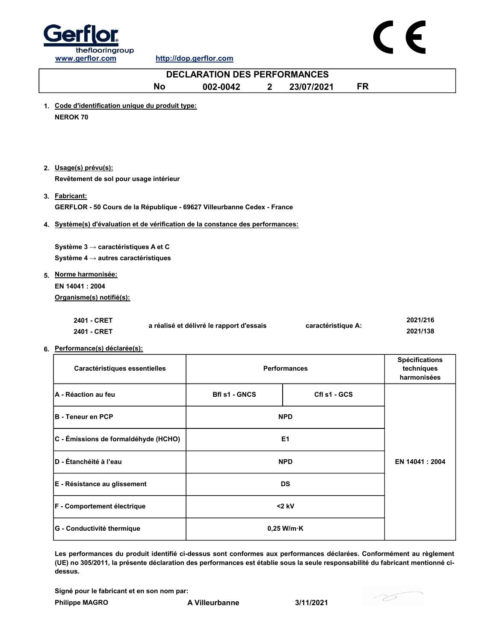



### No 002-0042 2 23/07/2021 FR 1. Code d'identification unique du produit type: NEROK 70 2. Usage(s) prévu(s): 3. Fabricant: 4. Système(s) d'évaluation et de vérification de la constance des performances: 5. Norme harmonisée: 2401 - CRET 2401 - CRET 6. Performance(s) déclarée(s): 2021/216 2021/138 Caractéristiques essentielles Système 4 → autres caractéristiques EN 14041 : 2004 Organisme(s) notifié(s): a réalisé et délivré le rapport d'essais Performances Spécifications techniques harmonisées A - Réaction au feu **Bruck Cfl state au Senation Cfl state Cfl** s1 - GCS Cfl s1 - GCS EN 14041 : 2004 B - Teneur en PCP NPD C - Émissions de formaldéhyde (HCHO)  $\vert$ D - Étanchéité à l'eau NPD DECLARATION DES PERFORMANCES Revêtement de sol pour usage intérieur GERFLOR - 50 Cours de la République - 69627 Villeurbanne Cedex - France Système 3 → caractéristiques A et C caractéristique A:

Les performances du produit identifié ci-dessus sont conformes aux performances déclarées. Conformément au règlement G - Conductivité thermique  $\vert$   $\vert$  0,25 W/m·K F - Comportement électrique <2 kV

(UE) no 305/2011, la présente déclaration des performances est établie sous la seule responsabilité du fabricant mentionné cidessus.

Signé pour le fabricant et en son nom par:

Philippe MAGRO **A Villeurbanne** 3/11/2021

E - Résistance au glissement DS

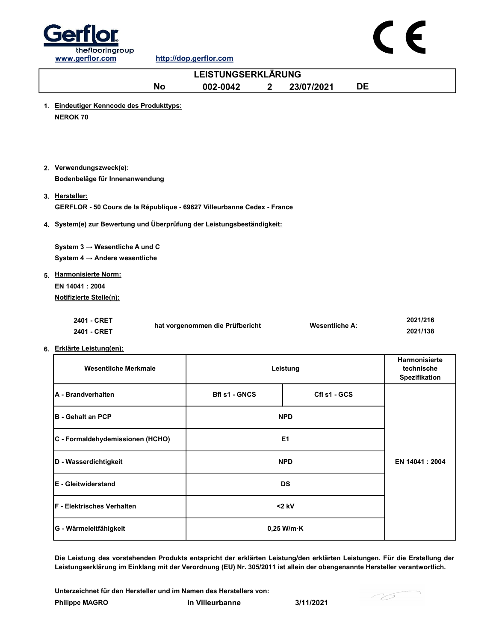

## C E

| <b>LEISTUNGSERKLÄRUNG</b>                                                                 |                                 |              |                       |    |                                              |
|-------------------------------------------------------------------------------------------|---------------------------------|--------------|-----------------------|----|----------------------------------------------|
| <b>No</b>                                                                                 | 002-0042                        | $\mathbf{2}$ | 23/07/2021            | DE |                                              |
| 1. Eindeutiger Kenncode des Produkttyps:<br><b>NEROK 70</b>                               |                                 |              |                       |    |                                              |
|                                                                                           |                                 |              |                       |    |                                              |
| 2. Verwendungszweck(e):<br>Bodenbeläge für Innenanwendung                                 |                                 |              |                       |    |                                              |
| 3. Hersteller:<br>GERFLOR - 50 Cours de la République - 69627 Villeurbanne Cedex - France |                                 |              |                       |    |                                              |
| 4. System(e) zur Bewertung und Überprüfung der Leistungsbeständigkeit:                    |                                 |              |                       |    |                                              |
| System $3 \rightarrow$ Wesentliche A und C<br>System 4 $\rightarrow$ Andere wesentliche   |                                 |              |                       |    |                                              |
| 5. Harmonisierte Norm:<br>EN 14041: 2004                                                  |                                 |              |                       |    |                                              |
| <b>Notifizierte Stelle(n):</b><br>2401 - CRET<br>2401 - CRET                              | hat vorgenommen die Prüfbericht |              | <b>Wesentliche A:</b> |    | 2021/216<br>2021/138                         |
| 6. Erklärte Leistung(en):                                                                 |                                 |              |                       |    |                                              |
| <b>Wesentliche Merkmale</b>                                                               |                                 |              | Leistung              |    | Harmonisierte<br>technische<br>Spezifikation |
| A - Brandverhalten                                                                        | <b>Bfl s1 - GNCS</b>            |              | Cfl s1 - GCS          |    |                                              |
| <b>B</b> - Gehalt an PCP                                                                  |                                 |              | <b>NPD</b>            |    |                                              |
| C - Formaldehydemissionen (HCHO)                                                          |                                 |              | E <sub>1</sub>        |    |                                              |
| D - Wasserdichtigkeit                                                                     | <b>NPD</b>                      |              | EN 14041 : 2004       |    |                                              |
| E - Gleitwiderstand                                                                       | <b>DS</b>                       |              |                       |    |                                              |
| F - Elektrisches Verhalten                                                                |                                 |              | $<$ 2 kV              |    |                                              |
| G - Wärmeleitfähigkeit                                                                    |                                 |              | $0,25$ W/m $\cdot$ K  |    |                                              |

Die Leistung des vorstehenden Produkts entspricht der erklärten Leistung/den erklärten Leistungen. Für die Erstellung der Leistungserklärung im Einklang mit der Verordnung (EU) Nr. 305/2011 ist allein der obengenannte Hersteller verantwortlich.

Philippe MAGRO in Villeurbanne 3/11/2021 Unterzeichnet für den Hersteller und im Namen des Herstellers von: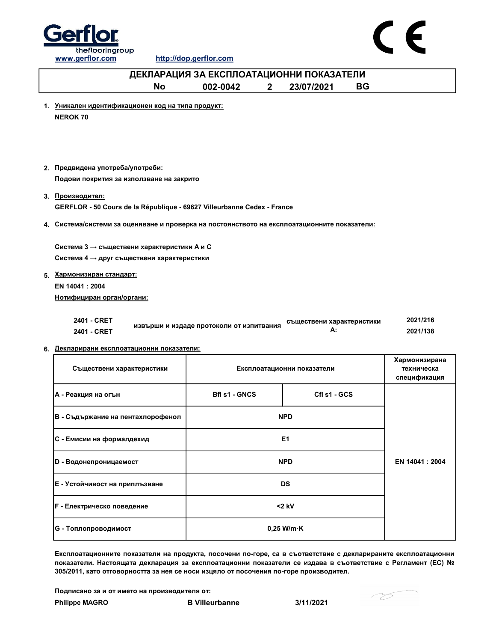



### No 002-0042 2 23/07/2021 BG 1. Уникален идентификационен код на типа продукт: NEROK 70 2. Предвидена употреба/употреби: 3. Производител: 4. Система/системи за оценяване и проверка на постоянството на експлоатационните показатели: ДЕКЛАРАЦИЯ ЗА ЕКСПЛОАТАЦИОННИ ПОКАЗАТЕЛИ Подови покрития за използване на закрито GERFLOR - 50 Cours de la République - 69627 Villeurbanne Cedex - France Система 3  $\rightarrow$  съществени характеристики А и С Система 4 → друг съществени характеристики

### 5. Хармонизиран стандарт:

EN 14041 : 2004 Нотифициран орган/органи:

| 2401 - CRET |                                          | съществени характеристики | 2021/216 |
|-------------|------------------------------------------|---------------------------|----------|
| 2401 - CRET | извърши и издаде протоколи от изпитвания |                           | 2021/138 |

### 6. Декларирани експлоатационни показатели:

| Съществени характеристики         | Експлоатационни показатели           | Хармонизирана<br>техническа<br>спецификация |                 |
|-----------------------------------|--------------------------------------|---------------------------------------------|-----------------|
| А - Реакция на огън               | <b>Bfl s1 - GNCS</b><br>Cfl s1 - GCS |                                             |                 |
| В - Съдържание на пентахлорофенол | <b>NPD</b>                           |                                             |                 |
| <b>C - Емисии на формалдехид</b>  | E <sub>1</sub>                       |                                             |                 |
| D - Водонепроницаемост            | <b>NPD</b>                           |                                             | EN 14041 : 2004 |
| Е - Устойчивост на приплъзване    | <b>DS</b>                            |                                             |                 |
| <b>F</b> - Електрическо поведение | $<$ 2 kV                             |                                             |                 |
| G - Топлопроводимост              | $0,25$ W/m $\cdot$ K                 |                                             |                 |

Експлоатационните показатели на продукта, посочени по-горе, са в съответствие с декларираните експлоатационни показатели. Настоящата декларация за експлоатационни показатели се издава в съответствие с Регламент (ЕС) № 305/2011, като отговорността за нея се носи изцяло от посочения по-горе производител.

Подписано за и от името на производителя от:

- 75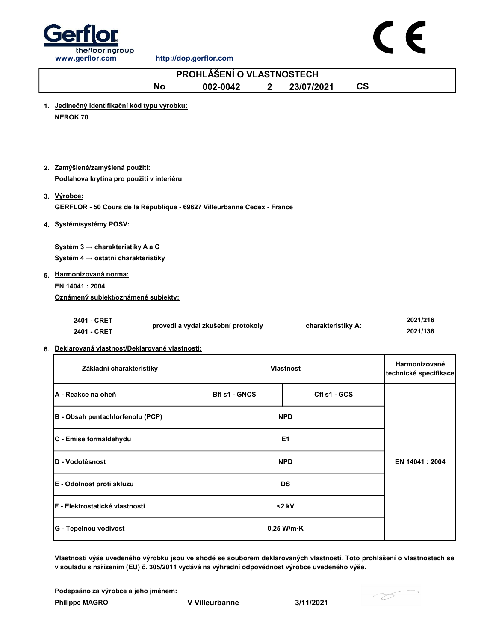



| PROHLÁŠENÍ O VLASTNOSTECH                                                              |                                    |              |                    |                          |                                        |
|----------------------------------------------------------------------------------------|------------------------------------|--------------|--------------------|--------------------------|----------------------------------------|
| <b>No</b>                                                                              | 002-0042                           | $\mathbf{2}$ | 23/07/2021         | $\mathsf{CS}\phantom{0}$ |                                        |
| 1. Jedinečný identifikační kód typu výrobku:<br><b>NEROK 70</b>                        |                                    |              |                    |                          |                                        |
| 2. Zamýšlené/zamýšlená použití:<br>Podlahova krytina pro použití v interiéru           |                                    |              |                    |                          |                                        |
| 3. Výrobce:<br>GERFLOR - 50 Cours de la République - 69627 Villeurbanne Cedex - France |                                    |              |                    |                          |                                        |
| 4. Systém/systémy POSV:                                                                |                                    |              |                    |                          |                                        |
| Systém 3 → charakteristiky A a C<br>Systém 4 → ostatni charakteristiky                 |                                    |              |                    |                          |                                        |
| 5. Harmonizovaná norma:<br>EN 14041 : 2004<br>Oznámený subjekt/oznámené subjekty:      |                                    |              |                    |                          |                                        |
| 2401 - CRET<br>2401 - CRET                                                             | provedl a vydal zkušební protokoly |              | charakteristiky A: |                          | 2021/216<br>2021/138                   |
| 6. Deklarovaná vlastnosť/Deklarované vlastnosti:                                       |                                    |              |                    |                          |                                        |
| Základní charakteristiky                                                               |                                    |              | <b>Vlastnost</b>   |                          | Harmonizované<br>technické specifikace |
| A - Reakce na oheň                                                                     | <b>Bfl s1 - GNCS</b>               |              | Cfl s1 - GCS       |                          |                                        |
| B - Obsah pentachlorfenolu (PCP)                                                       |                                    | <b>NPD</b>   |                    |                          |                                        |
| C - Emise formaldehydu                                                                 |                                    |              | E1                 |                          |                                        |
| D - Vodotěsnost                                                                        |                                    |              | <b>NPD</b>         |                          | EN 14041 : 2004                        |
| E - Odolnost proti skluzu                                                              |                                    | <b>DS</b>    |                    |                          |                                        |

Vlastnosti výše uvedeného výrobku jsou ve shodě se souborem deklarovaných vlastností. Toto prohlášení o vlastnostech se v souladu s nařízením (EU) č. 305/2011 vydává na výhradní odpovědnost výrobce uvedeného výše.

Philippe MAGRO **V** Villeurbanne 3/11/2021 Podepsáno za výrobce a jeho jménem:

F - Elektrostatické vlastnosti <2 kV

G - Tepelnou vodivost and a control of the control of the control of the control of the control of the control of the control of the control of the control of the control of the control of the control of the control of the

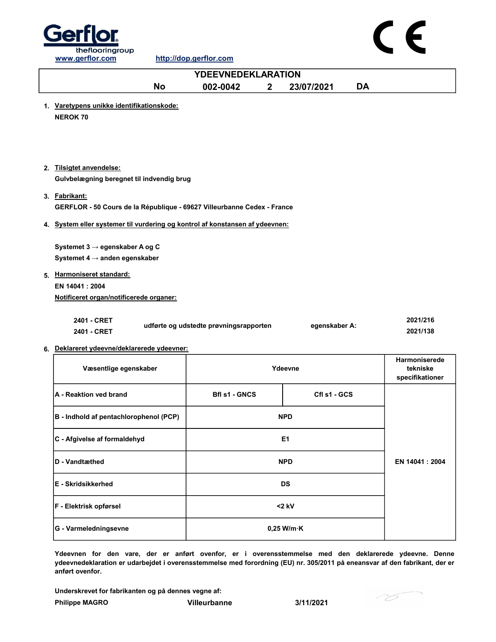



| <b>YDEEVNEDEKLARATION</b>                                                                                                                                              |                                        |             |                      |           |                             |
|------------------------------------------------------------------------------------------------------------------------------------------------------------------------|----------------------------------------|-------------|----------------------|-----------|-----------------------------|
| <b>No</b>                                                                                                                                                              | 002-0042                               | $\mathbf 2$ | 23/07/2021           | <b>DA</b> |                             |
| 1. Varetypens unikke identifikationskode:<br><b>NEROK 70</b>                                                                                                           |                                        |             |                      |           |                             |
| 2. Tilsigtet anvendelse:<br>Gulvbelægning beregnet til indvendig brug                                                                                                  |                                        |             |                      |           |                             |
| 3. Fabrikant:<br>GERFLOR - 50 Cours de la République - 69627 Villeurbanne Cedex - France                                                                               |                                        |             |                      |           |                             |
| 4. System eller systemer til vurdering og kontrol af konstansen af ydeevnen:                                                                                           |                                        |             |                      |           |                             |
| Systemet 3 → egenskaber A og C<br>Systemet 4 $\rightarrow$ anden egenskaber<br>5. Harmoniseret standard:<br>EN 14041 : 2004<br>Notificeret organ/notificerede organer: |                                        |             |                      |           |                             |
| 2401 - CRET<br>2401 - CRET                                                                                                                                             | udførte og udstedte prøvningsrapporten |             | egenskaber A:        |           | 2021/216<br>2021/138        |
| 6. Deklareret ydeevne/deklarerede ydeevner:                                                                                                                            |                                        |             |                      |           | Harmoniserede               |
| Væsentlige egenskaber                                                                                                                                                  |                                        |             | Ydeevne              |           | tekniske<br>specifikationer |
| A - Reaktion ved brand                                                                                                                                                 | <b>Bfl s1 - GNCS</b>                   |             | Cfl s1 - GCS         |           |                             |
| B - Indhold af pentachlorophenol (PCP)                                                                                                                                 |                                        |             | <b>NPD</b>           |           |                             |
| C - Afgivelse af formaldehyd                                                                                                                                           |                                        |             | E1                   |           |                             |
| D - Vandtæthed                                                                                                                                                         |                                        |             | <b>NPD</b>           |           | EN 14041: 2004              |
| E - Skridsikkerhed                                                                                                                                                     | <b>DS</b>                              |             |                      |           |                             |
| F - Elektrisk opførsel                                                                                                                                                 |                                        |             | $<$ 2 kV             |           |                             |
| G - Varmeledningsevne                                                                                                                                                  |                                        |             | $0,25$ W/m $\cdot$ K |           |                             |

Ydeevnen for den vare, der er anført ovenfor, er i overensstemmelse med den deklarerede ydeevne. Denne ydeevnedeklaration er udarbejdet i overensstemmelse med forordning (EU) nr. 305/2011 på eneansvar af den fabrikant, der er anført ovenfor.

Underskrevet for fabrikanten og på dennes vegne af:

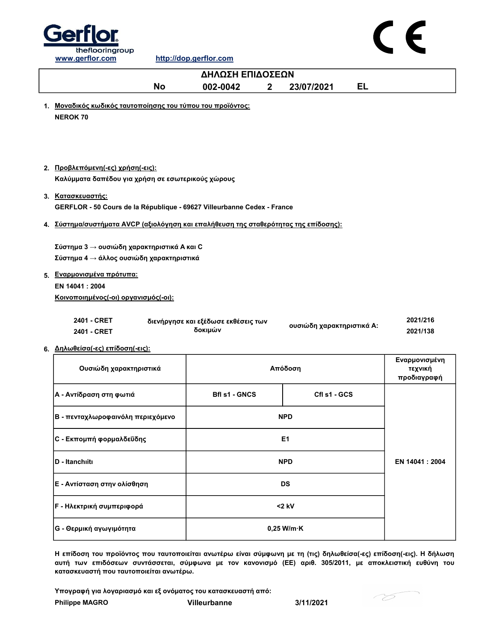

|                                                                                                                                                                                                             | ΔΗΛΩΣΗ ΕΠΙΔΟΣΕΩΝ                               |              |                           |                                         |
|-------------------------------------------------------------------------------------------------------------------------------------------------------------------------------------------------------------|------------------------------------------------|--------------|---------------------------|-----------------------------------------|
| <b>No</b>                                                                                                                                                                                                   | 002-0042                                       | $\mathbf{2}$ | <b>EL</b><br>23/07/2021   |                                         |
| 1. Μοναδικός κωδικός ταυτοποίησης του τύπου του προϊόντος:<br><b>NEROK 70</b>                                                                                                                               |                                                |              |                           |                                         |
| 2. Προβλεπόμενη (-ες) χρήση (-εις):<br>Καλύμματα δαπέδου για χρήση σε εσωτερικούς χώρους                                                                                                                    |                                                |              |                           |                                         |
| 3. Κατασκευαστής:                                                                                                                                                                                           |                                                |              |                           |                                         |
| GERFLOR - 50 Cours de la République - 69627 Villeurbanne Cedex - France                                                                                                                                     |                                                |              |                           |                                         |
| 4. Σύστημα/συστήματα AVCP (αξιολόγηση και επαλήθευση της σταθερότητας της επίδοσης):                                                                                                                        |                                                |              |                           |                                         |
| Σύστημα 3 → ουσιώδη χαρακτηριστικά Α και C<br>Σύστημα 4 → άλλος ουσιώδη χαρακτηριστικά<br>5. Εναρμονισμένα πρότυπα:<br>EN 14041: 2004<br>Κοινοποιημένος(-οι) οργανισμός(-οι):<br>2401 - CRET<br>2401 - CRET | διενήργησε και εξέδωσε εκθέσεις των<br>δοκιμών |              | ουσιώδη χαρακτηριστικά Α: | 2021/216<br>2021/138                    |
| 6. Δηλωθείσα(-ες) επίδοση(-εις):                                                                                                                                                                            |                                                |              |                           |                                         |
| Ουσιώδη χαρακτηριστικά                                                                                                                                                                                      |                                                |              | Απόδοση                   | Εναρμονισμένη<br>τεχνική<br>προδιαγραφή |
| Α - Αντίδραση στη φωτιά                                                                                                                                                                                     | <b>Bfl s1 - GNCS</b>                           |              | Cfl s1 - GCS              |                                         |
| Β - πενταχλωροφαινόλη περιεχόμενο                                                                                                                                                                           |                                                |              | <b>NPD</b>                |                                         |
| C - Εκπομπή φορμαλδεΰδης                                                                                                                                                                                    | E <sub>1</sub>                                 |              |                           |                                         |
| D - Itanchiiti                                                                                                                                                                                              | <b>NPD</b>                                     |              |                           | EN 14041 : 2004                         |
| Ε - Αντίσταση στην ολίσθηση                                                                                                                                                                                 |                                                | DS           |                           |                                         |
| <b>F</b> - Ηλεκτρική συμπεριφορά                                                                                                                                                                            |                                                |              | $<$ 2 kV                  |                                         |
| G - Θερμική αγωγιμότητα                                                                                                                                                                                     |                                                |              | $0,25$ W/m $\cdot$ K      |                                         |

Η επίδοση του προϊόντος που ταυτοποιείται ανωτέρω είναι σύμφωνη με τη (τις) δηλωθείσα(-ες) επίδοση(-εις). Η δήλωση αυτή των επιδόσεων συντάσσεται, σύμφωνα με τον κανονισμό (ΕΕ) αριθ. 305/2011, με αποκλειστική ευθύνη του κατασκευαστή που ταυτοποιείται ανωτέρω.

Υπογραφή για λογαριασμό και εξ ονόματος του κατασκευαστή από:

| <b>Philippe MAGRO</b> |  |
|-----------------------|--|
|-----------------------|--|

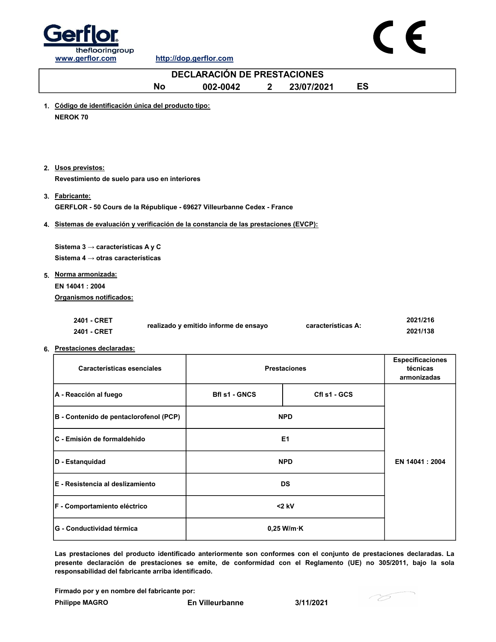

| <b>DECLARACIÓN DE PRESTACIONES</b>                                                                                                                                  |                                       |                         |                                             |  |  |
|---------------------------------------------------------------------------------------------------------------------------------------------------------------------|---------------------------------------|-------------------------|---------------------------------------------|--|--|
| <b>No</b>                                                                                                                                                           | 002-0042<br>$\mathbf{2}$              | <b>ES</b><br>23/07/2021 |                                             |  |  |
| 1. Código de identificación única del producto tipo:<br><b>NEROK 70</b>                                                                                             |                                       |                         |                                             |  |  |
| 2. Usos previstos:<br>Revestimiento de suelo para uso en interiores                                                                                                 |                                       |                         |                                             |  |  |
| 3. Fabricante:<br>GERFLOR - 50 Cours de la République - 69627 Villeurbanne Cedex - France                                                                           |                                       |                         |                                             |  |  |
| 4. Sistemas de evaluación y verificación de la constancia de las prestaciones (EVCP):                                                                               |                                       |                         |                                             |  |  |
| Sistema 3 $\rightarrow$ características A y C<br>Sistema 4 $\rightarrow$ otras características<br>5. Norma armonizada:<br>EN 14041: 2004<br>Organismos notificados: |                                       |                         |                                             |  |  |
| 2401 - CRET<br>2401 - CRET<br>6. Prestaciones declaradas:                                                                                                           | realizado y emitido informe de ensayo | características A:      | 2021/216<br>2021/138                        |  |  |
| Características esenciales                                                                                                                                          |                                       | <b>Prestaciones</b>     | Especificaciones<br>técnicas<br>armonizadas |  |  |
| A - Reacción al fuego                                                                                                                                               | <b>Bfl s1 - GNCS</b>                  | Cfl s1 - GCS            |                                             |  |  |
| B - Contenido de pentaclorofenol (PCP)                                                                                                                              |                                       | <b>NPD</b>              |                                             |  |  |
| C - Emisión de formaldehído                                                                                                                                         |                                       | E <sub>1</sub>          |                                             |  |  |
| D - Estanquidad                                                                                                                                                     |                                       | EN 14041 : 2004         |                                             |  |  |
| E - Resistencia al deslizamiento                                                                                                                                    |                                       | DS                      |                                             |  |  |
| F - Comportamiento eléctrico                                                                                                                                        |                                       | $<$ 2 kV                |                                             |  |  |
|                                                                                                                                                                     |                                       |                         |                                             |  |  |

Las prestaciones del producto identificado anteriormente son conformes con el conjunto de prestaciones declaradas. La presente declaración de prestaciones se emite, de conformidad con el Reglamento (UE) no 305/2011, bajo la sola responsabilidad del fabricante arriba identificado.

Firmado por y en nombre del fabricante por:

G - Conductividad térmica 0,25 W/m·K

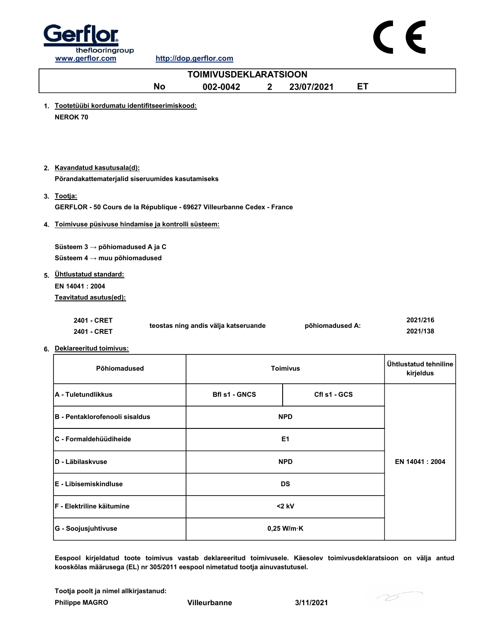

### $\epsilon$

|                                                                                       | <b>TOIMIVUSDEKLARATSIOON</b>         |                 |    |                                    |
|---------------------------------------------------------------------------------------|--------------------------------------|-----------------|----|------------------------------------|
| <b>No</b>                                                                             | 002-0042<br>$\mathbf 2$              | 23/07/2021      | ET |                                    |
| 1. Tootetüübi kordumatu identifitseerimiskood:<br><b>NEROK 70</b>                     |                                      |                 |    |                                    |
| 2. Kavandatud kasutusala(d):<br>Põrandakattematerjalid siseruumides kasutamiseks      |                                      |                 |    |                                    |
| 3. Tootja:<br>GERFLOR - 50 Cours de la République - 69627 Villeurbanne Cedex - France |                                      |                 |    |                                    |
| 4. Toimivuse püsivuse hindamise ja kontrolli süsteem:                                 |                                      |                 |    |                                    |
| Süsteem 3 → põhiomadused A ja C<br>Süsteem $4 \rightarrow$ muu põhiomadused           |                                      |                 |    |                                    |
| 5. Ühtlustatud standard:<br>EN 14041: 2004<br>Teavitatud asutus(ed):                  |                                      |                 |    |                                    |
| 2401 - CRET<br>2401 - CRET                                                            | teostas ning andis välja katseruande | põhiomadused A: |    | 2021/216<br>2021/138               |
| 6. Deklareeritud toimivus:                                                            |                                      |                 |    |                                    |
| Põhiomadused                                                                          |                                      | <b>Toimivus</b> |    | Ühtlustatud tehniline<br>kirjeldus |
| A - Tuletundlikkus                                                                    | <b>Bfl s1 - GNCS</b>                 | Cfl s1 - GCS    |    |                                    |
| B - Pentaklorofenooli sisaldus                                                        |                                      | <b>NPD</b>      |    |                                    |
| C - Formaldehüüdiheide                                                                |                                      | E <sub>1</sub>  |    |                                    |
| D - Läbilaskvuse                                                                      |                                      | <b>NPD</b>      |    | EN 14041 : 2004                    |
| E - Libisemiskindluse                                                                 |                                      | <b>DS</b>       |    |                                    |
| F - Elektriline käitumine                                                             |                                      | $<$ 2 kV        |    |                                    |

Eespool kirjeldatud toote toimivus vastab deklareeritud toimivusele. Käesolev toimivusdeklaratsioon on välja antud kooskõlas määrusega (EL) nr 305/2011 eespool nimetatud tootja ainuvastutusel.

Philippe MAGRO Villeurbanne 3/11/2021 Tootja poolt ja nimel allkirjastanud:

G - Soojusjuhtivuse and a control of the control of the control of the control of the control of the control of the control of the control of the control of the control of the control of the control of the control of the c

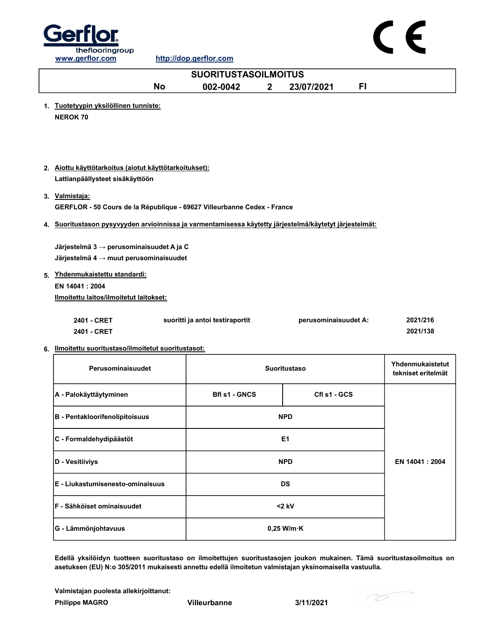



Edellä yksilöidyn tuotteen suoritustaso on ilmoitettujen suoritustasojen joukon mukainen. Tämä suoritustasoilmoitus on asetuksen (EU) N:o 305/2011 mukaisesti annettu edellä ilmoitetun valmistajan yksinomaisella vastuulla.

Valmistajan puolesta allekirjoittanut:

Philippe MAGRO **Villeurbanne** 3/11/2021

- 75

 $\epsilon$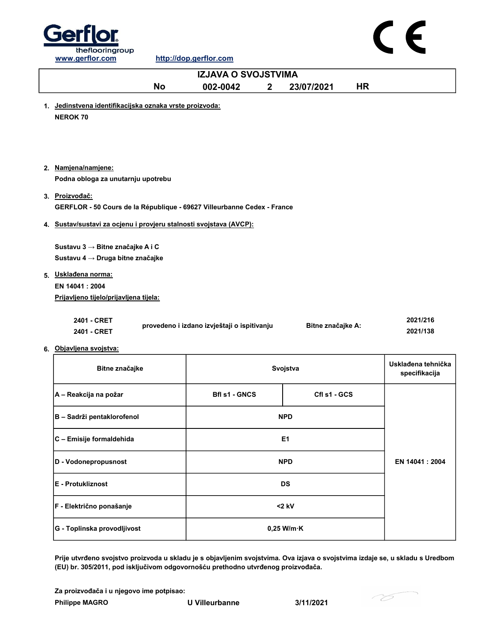



|                                                                                           | <b>IZJAVA O SVOJSTVIMA</b>                  |              |                   |           |                                     |
|-------------------------------------------------------------------------------------------|---------------------------------------------|--------------|-------------------|-----------|-------------------------------------|
| <b>No</b>                                                                                 | 002-0042                                    | $\mathbf{2}$ | 23/07/2021        | <b>HR</b> |                                     |
| 1. Jedinstvena identifikacijska oznaka vrste proizvoda:<br><b>NEROK 70</b>                |                                             |              |                   |           |                                     |
| 2. Namjena/namjene:<br>Podna obloga za unutarnju upotrebu                                 |                                             |              |                   |           |                                     |
| 3. Proizvodač:<br>GERFLOR - 50 Cours de la République - 69627 Villeurbanne Cedex - France |                                             |              |                   |           |                                     |
| 4. Sustav/sustavi za ocjenu i provjeru stalnosti svojstava (AVCP):                        |                                             |              |                   |           |                                     |
| Sustavu 3 → Bitne značajke A i C<br>Sustavu 4 → Druga bitne značajke                      |                                             |              |                   |           |                                     |
| 5. Uskladena norma:                                                                       |                                             |              |                   |           |                                     |
| EN 14041 : 2004<br>Prijavljeno tijelo/prijavljena tijela:                                 |                                             |              |                   |           |                                     |
| 2401 - CRET<br>2401 - CRET<br>6. Objavljena svojstva:                                     | provedeno i izdano izvještaji o ispitivanju |              | Bitne značajke A: |           | 2021/216<br>2021/138                |
| Bitne značajke                                                                            |                                             |              | Svojstva          |           | Usklađena tehnička<br>specifikacija |
| A - Reakcija na požar                                                                     | <b>Bfl s1 - GNCS</b>                        |              | Cfl s1 - GCS      |           |                                     |
| B - Sadrži pentaklorofenol                                                                |                                             |              | <b>NPD</b>        |           |                                     |
| C - Emisije formaldehida                                                                  |                                             |              | E1                |           |                                     |
| D - Vodonepropusnost                                                                      |                                             |              | <b>NPD</b>        |           | EN 14041 : 2004                     |
| E - Protukliznost                                                                         |                                             |              | <b>DS</b>         |           |                                     |

Prije utvrđeno svojstvo proizvoda u skladu je s objavljenim svojstvima. Ova izjava o svojstvima izdaje se, u skladu s Uredbom (EU) br. 305/2011, pod isključivom odgovornošću prethodno utvrđenog proizvođača.

Za proizvođača i u njegovo ime potpisao:

F - Električno ponašanje <2 kV

G - Toplinska provodljivost Carry Change Control Control Control Control Control Control Control Control Control Control Control Control Control Control Control Control Control Control Control Control Control Control Contr

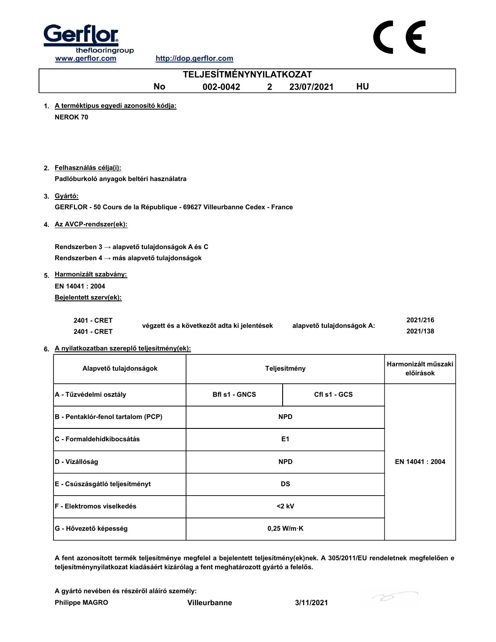



| <b>TELJESÍTMÉNYNYILATKOZAT</b>                                                                          |                                            |                           |                                  |  |  |
|---------------------------------------------------------------------------------------------------------|--------------------------------------------|---------------------------|----------------------------------|--|--|
| <b>No</b>                                                                                               | 002-0042<br>$\mathbf{2}$                   | 23/07/2021<br><b>HU</b>   |                                  |  |  |
| 1. A terméktípus egyedi azonosító kódja:<br><b>NEROK 70</b>                                             |                                            |                           |                                  |  |  |
| 2. Felhasználás célja(i):<br>Padlóburkoló anyagok beltéri használatra                                   |                                            |                           |                                  |  |  |
| 3. Gyártó:<br>GERFLOR - 50 Cours de la République - 69627 Villeurbanne Cedex - France                   |                                            |                           |                                  |  |  |
| 4. Az AVCP-rendszer(ek):                                                                                |                                            |                           |                                  |  |  |
| Rendszerben 3 $\rightarrow$ alapvető tulajdonságok A és C<br>Rendszerben 4 → más alapvető tulajdonságok |                                            |                           |                                  |  |  |
| 5. Harmonizált szabvány:<br>EN 14041: 2004<br>Bejelentett szerv(ek):                                    |                                            |                           |                                  |  |  |
| 2401 - CRET<br>2401 - CRET                                                                              | végzett és a következőt adta ki jelentések | alapvető tulajdonságok A: | 2021/216<br>2021/138             |  |  |
| 6. A nyilatkozatban szereplő teljesítmény(ek):                                                          |                                            |                           |                                  |  |  |
| Alapvető tulajdonságok                                                                                  |                                            | Teljesítmény              | Harmonizált műszaki<br>előírások |  |  |
| A - Tűzvédelmi osztály                                                                                  | <b>Bfl s1 - GNCS</b>                       | Cfl s1 - GCS              |                                  |  |  |
| B - Pentaklór-fenol tartalom (PCP)                                                                      |                                            | <b>NPD</b>                |                                  |  |  |
| C - Formaldehidkibocsátás                                                                               |                                            | E1                        |                                  |  |  |
| D - Vízállóság                                                                                          |                                            | <b>NPD</b>                | EN 14041: 2004                   |  |  |
|                                                                                                         |                                            |                           |                                  |  |  |

F - Elektromos viselkedés <2 kV G - Hővezető képesség  $0,25$  W/m·K

A fent azonosított termék teljesítménye megfelel a bejelentett teljesítmény(ek)nek. A 305/2011/EU rendeletnek megfelelően e teljesítménynyilatkozat kiadásáért kizárólag a fent meghatározott gyártó a felelős.

A gyártó nevében és részéről aláíró személy:

E - Csúszásgátló teljesítményt DS

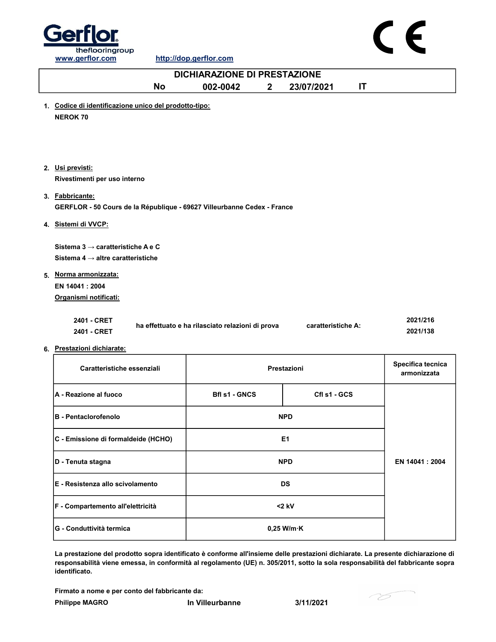



|                                                                                                | <b>DICHIARAZIONE DI PRESTAZIONE</b>              |             |                    |    |                                  |
|------------------------------------------------------------------------------------------------|--------------------------------------------------|-------------|--------------------|----|----------------------------------|
| <b>No</b>                                                                                      | 002-0042                                         | $2^{\circ}$ | 23/07/2021         | IT |                                  |
| 1. Codice di identificazione unico del prodotto-tipo:<br><b>NEROK 70</b>                       |                                                  |             |                    |    |                                  |
| 2. Usi previsti:<br>Rivestimenti per uso interno                                               |                                                  |             |                    |    |                                  |
| 3. Fabbricante:<br>GERFLOR - 50 Cours de la République - 69627 Villeurbanne Cedex - France     |                                                  |             |                    |    |                                  |
| 4. Sistemi di VVCP:                                                                            |                                                  |             |                    |    |                                  |
| Sistema 3 $\rightarrow$ caratteristiche A e C<br>Sistema 4 $\rightarrow$ altre caratteristiche |                                                  |             |                    |    |                                  |
| 5. Norma armonizzata:<br>EN 14041: 2004<br>Organismi notificati:                               |                                                  |             |                    |    |                                  |
| 2401 - CRET<br>2401 - CRET                                                                     | ha effettuato e ha rilasciato relazioni di prova |             | caratteristiche A: |    | 2021/216<br>2021/138             |
| 6. Prestazioni dichiarate:<br>Caratteristiche essenziali                                       |                                                  |             | Prestazioni        |    | Specifica tecnica<br>armonizzata |
| A - Reazione al fuoco                                                                          | <b>Bfl s1 - GNCS</b>                             |             | Cfl s1 - GCS       |    |                                  |
| <b>B</b> - Pentaclorofenolo                                                                    |                                                  |             | <b>NPD</b>         |    |                                  |
| C - Emissione di formaldeide (HCHO)                                                            |                                                  |             | E <sub>1</sub>     |    |                                  |

La prestazione del prodotto sopra identificato è conforme all'insieme delle prestazioni dichiarate. La presente dichiarazione di responsabilità viene emessa, in conformità al regolamento (UE) n. 305/2011, sotto la sola responsabilità del fabbricante sopra identificato.

Firmato a nome e per conto del fabbricante da:

**D** - Tenuta stagna NPD

E - Resistenza allo scivolamento DS

F - Compartemento all'elettricità <2 kV

G - Conduttività termica and a conductivity of the conductivity of the conductivity of  $\sim$  0,25 W/m·K

- 75

EN 14041 : 2004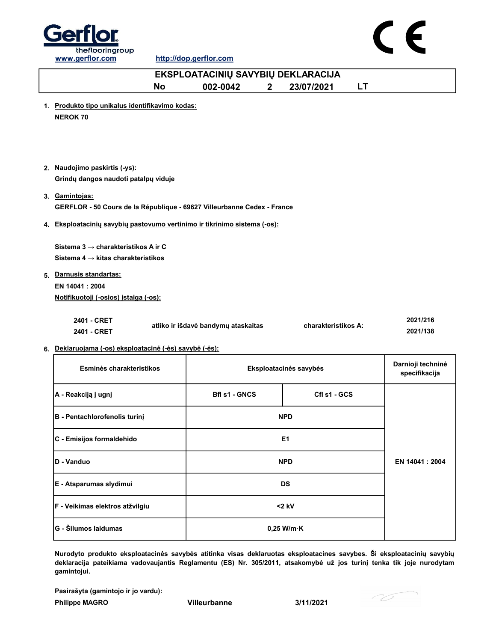



| EKSPLOATACINIŲ SAVYBIŲ DEKLARACIJA                                                                |                         |                                                                                                                                                   |                                                                                                                                                                                                                                   |  |  |
|---------------------------------------------------------------------------------------------------|-------------------------|---------------------------------------------------------------------------------------------------------------------------------------------------|-----------------------------------------------------------------------------------------------------------------------------------------------------------------------------------------------------------------------------------|--|--|
| <b>No</b>                                                                                         | 002-0042<br>$2^{\circ}$ | 23/07/2021                                                                                                                                        | LT                                                                                                                                                                                                                                |  |  |
| <b>NEROK 70</b>                                                                                   |                         |                                                                                                                                                   |                                                                                                                                                                                                                                   |  |  |
| 2. Naudojimo paskirtis (-ys):<br>Grindų dangos naudoti patalpų viduje                             |                         |                                                                                                                                                   |                                                                                                                                                                                                                                   |  |  |
| 3. Gamintojas:                                                                                    |                         |                                                                                                                                                   |                                                                                                                                                                                                                                   |  |  |
|                                                                                                   |                         |                                                                                                                                                   |                                                                                                                                                                                                                                   |  |  |
| Sistema 3 $\rightarrow$ charakteristikos A ir C<br>Sistema 4 $\rightarrow$ kitas charakteristikos |                         |                                                                                                                                                   |                                                                                                                                                                                                                                   |  |  |
| 5. Darnusis standartas:<br>EN 14041 : 2004<br>Notifikuotoji (-osios) įstaiga (-os):               |                         |                                                                                                                                                   |                                                                                                                                                                                                                                   |  |  |
| 2401 - CRET<br>2401 - CRET                                                                        |                         |                                                                                                                                                   | 2021/216<br>2021/138                                                                                                                                                                                                              |  |  |
|                                                                                                   |                         |                                                                                                                                                   |                                                                                                                                                                                                                                   |  |  |
| Esminės charakteristikos                                                                          |                         |                                                                                                                                                   | Darnioji techninė<br>specifikacija                                                                                                                                                                                                |  |  |
| A - Reakciją į ugnį                                                                               | <b>Bfl s1 - GNCS</b>    | Cfl s1 - GCS                                                                                                                                      |                                                                                                                                                                                                                                   |  |  |
| B - Pentachlorofenolis turinį                                                                     |                         |                                                                                                                                                   |                                                                                                                                                                                                                                   |  |  |
| C - Emisijos formaldehido                                                                         |                         | E1                                                                                                                                                |                                                                                                                                                                                                                                   |  |  |
| D - Vanduo                                                                                        |                         |                                                                                                                                                   | EN 14041 : 2004                                                                                                                                                                                                                   |  |  |
|                                                                                                   |                         | 1. Produkto tipo unikalus identifikavimo kodas:<br>atliko ir išdavė bandymų ataskaitas<br>6. Deklaruojama (-os) eksploatacinė (-ės) savybė (-ės): | GERFLOR - 50 Cours de la République - 69627 Villeurbanne Cedex - France<br>4. Eksploatacinių savybių pastovumo vertinimo ir tikrinimo sistema (-os):<br>charakteristikos A:<br>Eksploatacinės savybės<br><b>NPD</b><br><b>NPD</b> |  |  |

Nurodyto produkto eksploatacinės savybės atitinka visas deklaruotas eksploatacines savybes. Ši eksploatacinių savybių deklaracija pateikiama vadovaujantis Reglamentu (ES) Nr. 305/2011, atsakomybė už jos turinį tenka tik joje nurodytam gamintojui.

<2 kV

Pasirašyta (gamintojo ir jo vardu):

F - Veikimas elektros atžvilgiu

Philippe MAGRO Villeurbanne 3/11/2021

G - Šilumos laidumas 0,25 W/m·K

E - Atsparumas slydimui DS

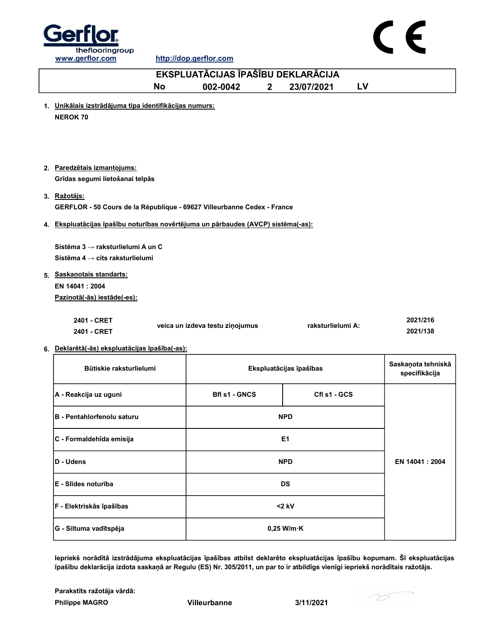



http://dop.gerflor.com

|                                                                                                                                 | EKSPLUATĀCIJAS ĪPAŠĪBU DEKLARĀCIJA |                         |    |                                     |
|---------------------------------------------------------------------------------------------------------------------------------|------------------------------------|-------------------------|----|-------------------------------------|
| No                                                                                                                              | 002-0042<br>$\overline{2}$         | 23/07/2021              | LV |                                     |
| 1. Unikālais izstrādājuma tipa identifikācijas numurs:<br><b>NEROK 70</b>                                                       |                                    |                         |    |                                     |
| 2. Paredzētais izmantojums:<br>Grīdas segumi lietošanai telpās                                                                  |                                    |                         |    |                                     |
| 3. Ražotājs:<br>GERFLOR - 50 Cours de la République - 69627 Villeurbanne Cedex - France                                         |                                    |                         |    |                                     |
| 4. Ekspluatācijas īpašību noturības novērtējuma un pārbaudes (AVCP) sistēma(-as):                                               |                                    |                         |    |                                     |
| Sistēma 3 → raksturlielumi A un C<br>Sistēma 4 $\rightarrow$ cits raksturlielumi<br>5. Saskanotais standarts:<br>EN 14041: 2004 |                                    |                         |    |                                     |
| Pazinotā(-ās) iestāde(-es):                                                                                                     |                                    |                         |    |                                     |
| 2401 - CRET<br>2401 - CRET                                                                                                      | veica un izdeva testu ziņojumus    | raksturlielumi A:       |    | 2021/216<br>2021/138                |
| 6. Deklarētā(-ās) ekspluatācijas īpašība(-as):                                                                                  |                                    |                         |    |                                     |
| Būtiskie raksturlielumi                                                                                                         |                                    | Ekspluatācijas īpašības |    | Saskaņota tehniskā<br>specifikācija |
| A - Reakcija uz uguni                                                                                                           | <b>Bfl s1 - GNCS</b>               | Cfl s1 - GCS            |    |                                     |
| <b>B</b> - Pentahlorfenolu saturu                                                                                               |                                    | <b>NPD</b>              |    |                                     |
| C - Formaldehīda emisija                                                                                                        |                                    | E <sub>1</sub>          |    |                                     |
| D - Udens                                                                                                                       |                                    | <b>NPD</b>              |    | EN 14041: 2004                      |
| E - Slīdes noturība                                                                                                             |                                    | <b>DS</b>               |    |                                     |
| F - Elektriskās īpašības                                                                                                        |                                    | $<$ 2 kV                |    |                                     |
| G - Siltuma vadītspēja                                                                                                          |                                    | $0,25$ W/m $\cdot$ K    |    |                                     |

Iepriekš norādītā izstrādājuma ekspluatācijas īpašības atbilst deklarēto ekspluatācijas īpašību kopumam. Šī ekspluatācijas īpašību deklarācija izdota saskaņā ar Regulu (ES) Nr. 305/2011, un par to ir atbildīgs vienīgi iepriekš norādītais ražotājs.

Philippe MAGRO Villeurbanne 3/11/2021 Parakstīts ražotāja vārdā:

76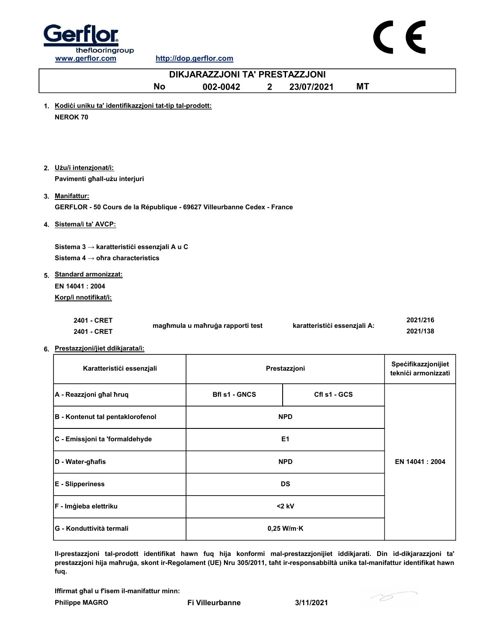



http://dop.gerflor.com

| DIKJARAZZJONI TA' PRESTAZZJONI                                                               |                                  |                              |                                            |  |  |  |
|----------------------------------------------------------------------------------------------|----------------------------------|------------------------------|--------------------------------------------|--|--|--|
| <b>No</b>                                                                                    | 002-0042<br>$\mathbf{2}$         | 23/07/2021<br><b>MT</b>      |                                            |  |  |  |
| 1. Kodići uniku ta' identifikazzjoni tat-tip tal-prodott:<br><b>NEROK 70</b>                 |                                  |                              |                                            |  |  |  |
| 2. Użu/i intenzjonat/i:<br>Pavimenti għall-użu interjuri                                     |                                  |                              |                                            |  |  |  |
| 3. Manifattur:<br>GERFLOR - 50 Cours de la République - 69627 Villeurbanne Cedex - France    |                                  |                              |                                            |  |  |  |
| 4. Sistema/i ta' AVCP:                                                                       |                                  |                              |                                            |  |  |  |
| Sistema 3 → karatteristići essenzjali A u C<br>Sistema $4 \rightarrow$ ofira characteristics |                                  |                              |                                            |  |  |  |
| 5. Standard armonizzat:<br>EN 14041 : 2004                                                   |                                  |                              |                                            |  |  |  |
| Korp/i nnotifikat/i:                                                                         |                                  |                              |                                            |  |  |  |
| 2401 - CRET<br>2401 - CRET                                                                   | magħmula u maħruġa rapporti test | karatteristići essenzjali A: | 2021/216<br>2021/138                       |  |  |  |
| 6. Prestazzjoni/jiet ddikjarata/i:                                                           |                                  |                              |                                            |  |  |  |
| Karatteristici essenzjali                                                                    |                                  | Prestazzjoni                 | Specifikazzjonijiet<br>teknići armonizzati |  |  |  |
| A - Reazzjoni għal ħruq                                                                      | <b>Bfl s1 - GNCS</b>             | Cfl s1 - GCS                 |                                            |  |  |  |
| <b>B</b> - Kontenut tal pentaklorofenol                                                      |                                  | <b>NPD</b>                   |                                            |  |  |  |
| C - Emissjoni ta 'formaldehyde                                                               |                                  | E <sub>1</sub>               |                                            |  |  |  |
| D - Water-ghafis                                                                             |                                  | <b>NPD</b>                   | EN 14041: 2004                             |  |  |  |
| <b>E</b> - Slipperiness                                                                      |                                  | DS                           |                                            |  |  |  |

Il-prestazzjoni tal-prodott identifikat hawn fuq hija konformi mal-prestazzjonijiet iddikjarati. Din id-dikjarazzjoni ta' prestazzjoni hija maħruġa, skont ir-Regolament (UE) Nru 305/2011, taħt ir-responsabbiltà unika tal-manifattur identifikat hawn fuq.

Philippe MAGRO Fi Villeurbanne 3/11/2021 Iffirmat għal u f'isem il-manifattur minn:

F - Imġieba elettriku and a strong strong strong strong strong strong strong strong strong strong strong strong strong strong strong strong strong strong strong strong strong strong strong strong strong strong strong stron

G - Konduttività termali di controlle della controlle di controlle di controlle di controlle di controlle di co

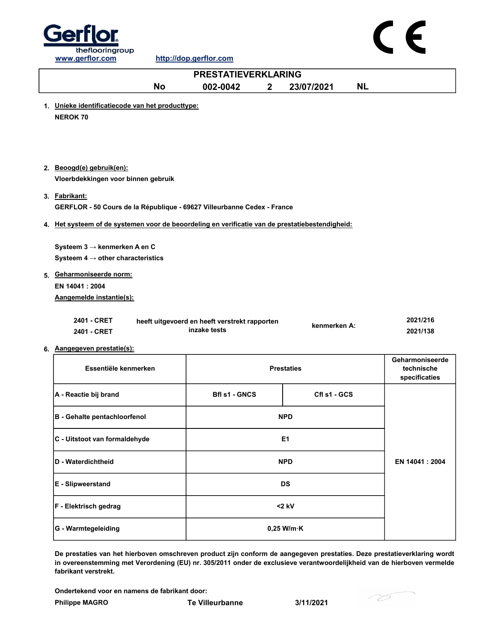

| <b>PRESTATIEVERKLARING</b> |                                                                                                                                                                      |                                                               |                   |              |           |                                                |
|----------------------------|----------------------------------------------------------------------------------------------------------------------------------------------------------------------|---------------------------------------------------------------|-------------------|--------------|-----------|------------------------------------------------|
|                            | <b>No</b>                                                                                                                                                            | 002-0042<br>$\boldsymbol{2}$                                  |                   | 23/07/2021   | <b>NL</b> |                                                |
|                            | 1. Unieke identificatiecode van het producttype:<br><b>NEROK 70</b>                                                                                                  |                                                               |                   |              |           |                                                |
|                            | 2. Beoogd(e) gebruik(en):<br>Vloerbdekkingen voor binnen gebruik                                                                                                     |                                                               |                   |              |           |                                                |
|                            | 3. Fabrikant:<br>GERFLOR - 50 Cours de la République - 69627 Villeurbanne Cedex - France                                                                             |                                                               |                   |              |           |                                                |
|                            | 4. Het systeem of de systemen voor de beoordeling en verificatie van de prestatiebestendigheid:                                                                      |                                                               |                   |              |           |                                                |
|                            | Systeem $3 \rightarrow$ kenmerken A en C<br>Systeem $4 \rightarrow$ other characteristics<br>5. Geharmoniseerde norm:<br>EN 14041 : 2004<br>Aangemelde instantie(s): |                                                               |                   |              |           |                                                |
|                            | 2401 - CRET<br>2401 - CRET<br>6. Aangegeven prestatie(s):                                                                                                            | heeft uitgevoerd en heeft verstrekt rapporten<br>inzake tests |                   | kenmerken A: |           | 2021/216<br>2021/138                           |
|                            | Essentiële kenmerken                                                                                                                                                 |                                                               | <b>Prestaties</b> |              |           | Geharmoniseerde<br>technische<br>specificaties |
|                            | A - Reactie bij brand                                                                                                                                                | <b>Bfl s1 - GNCS</b>                                          |                   | Cfl s1 - GCS |           |                                                |
|                            | <b>B</b> - Gehalte pentachloorfenol                                                                                                                                  |                                                               | <b>NPD</b>        |              |           |                                                |
|                            | C - Uitstoot van formaldehyde                                                                                                                                        |                                                               | E1                |              |           |                                                |
|                            | D - Waterdichtheid                                                                                                                                                   |                                                               | <b>NPD</b>        |              |           | EN 14041 : 2004                                |
|                            | E - Slipweerstand                                                                                                                                                    |                                                               | <b>DS</b>         |              |           |                                                |
|                            | F - Elektrisch gedrag                                                                                                                                                |                                                               | $<$ 2 kV          |              |           |                                                |
|                            |                                                                                                                                                                      |                                                               |                   |              |           |                                                |

De prestaties van het hierboven omschreven product zijn conform de aangegeven prestaties. Deze prestatieverklaring wordt in overeenstemming met Verordening (EU) nr. 305/2011 onder de exclusieve verantwoordelijkheid van de hierboven vermelde fabrikant verstrekt.

Ondertekend voor en namens de fabrikant door:

G - Warmtegeleiding 0,25 W/m·K

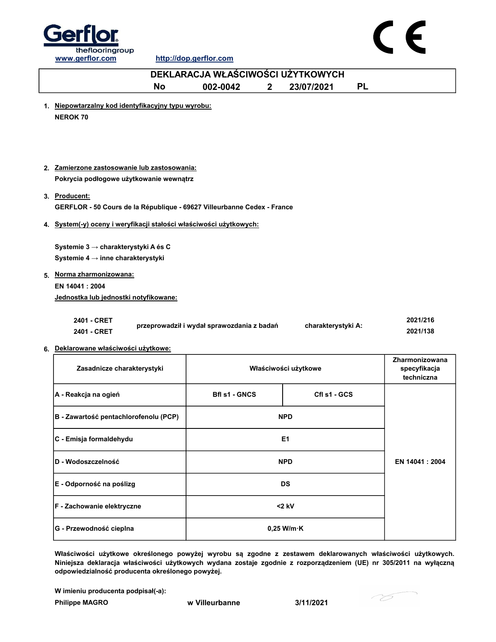

|                                                                                          | DEKLARACJA WŁAŚCIWOŚCI UŻYTKOWYCH          |              |                      |           |                                              |
|------------------------------------------------------------------------------------------|--------------------------------------------|--------------|----------------------|-----------|----------------------------------------------|
| <b>No</b>                                                                                | 002-0042                                   | $\mathbf{2}$ | 23/07/2021           | <b>PL</b> |                                              |
| 1. Niepowtarzalny kod identyfikacyjny typu wyrobu:<br><b>NEROK 70</b>                    |                                            |              |                      |           |                                              |
| 2. Zamierzone zastosowanie lub zastosowania:<br>Pokrycia podłogowe użytkowanie wewnątrz  |                                            |              |                      |           |                                              |
| 3. Producent:<br>GERFLOR - 50 Cours de la République - 69627 Villeurbanne Cedex - France |                                            |              |                      |           |                                              |
| 4. System(-y) oceny i weryfikacji stałości właściwości użytkowych:                       |                                            |              |                      |           |                                              |
| Systemie 3 → charakterystyki A és C<br>Systemie 4 → inne charakterystyki                 |                                            |              |                      |           |                                              |
| 5. Norma zharmonizowana:                                                                 |                                            |              |                      |           |                                              |
| EN 14041 : 2004<br>Jednostka lub jednostki notyfikowane:                                 |                                            |              |                      |           |                                              |
| 2401 - CRET<br>2401 - CRET<br>6. Deklarowane właściwości użytkowe:                       | przeprowadził i wydał sprawozdania z badań |              | charakterystyki A:   |           | 2021/216<br>2021/138                         |
| Zasadnicze charakterystyki                                                               |                                            |              | Właściwości użytkowe |           | Zharmonizowana<br>specyfikacja<br>techniczna |
| A - Reakcja na ogień                                                                     | <b>Bfl s1 - GNCS</b>                       |              | Cfl s1 - GCS         |           |                                              |
| B - Zawartość pentachlorofenolu (PCP)                                                    |                                            |              | <b>NPD</b>           |           |                                              |
| C - Emisja formaldehydu                                                                  |                                            |              | E <sub>1</sub>       |           |                                              |
| D - Wodoszczelność                                                                       |                                            |              | <b>NPD</b>           |           | EN 14041 : 2004                              |
| E - Odporność na poślizg                                                                 |                                            |              | <b>DS</b>            |           |                                              |
| F - Zachowanie elektryczne                                                               |                                            |              | $<$ 2 kV             |           |                                              |

Właściwości użytkowe określonego powyżej wyrobu są zgodne z zestawem deklarowanych właściwości użytkowych. Niniejsza deklaracja właściwości użytkowych wydana zostaje zgodnie z rozporządzeniem (UE) nr 305/2011 na wyłączną odpowiedzialność producenta określonego powyżej.

0,25 W/m·K

W imieniu producenta podpisał(-a):

Philippe MAGRO W Villeurbanne 3/11/2021

G - Przewodność cieplna

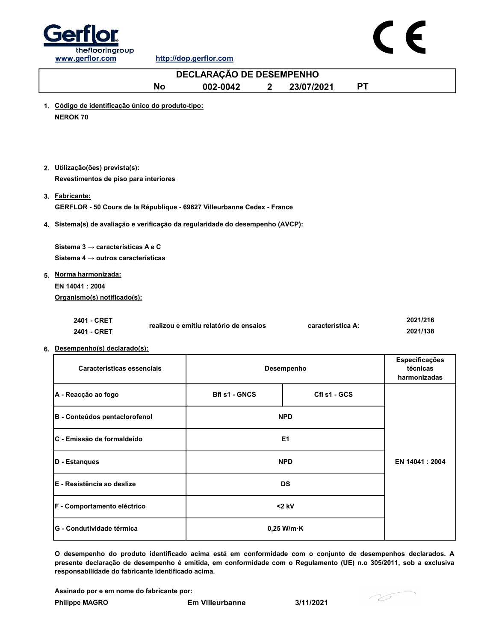

|                                                                                                 | DECLARAÇÃO DE DESEMPENHO               |              |                      |           |                          |
|-------------------------------------------------------------------------------------------------|----------------------------------------|--------------|----------------------|-----------|--------------------------|
| <b>No</b>                                                                                       | 002-0042                               | $\mathbf{2}$ | 23/07/2021           | <b>PT</b> |                          |
| 1. Código de identificação único do produto-tipo:<br><b>NEROK 70</b>                            |                                        |              |                      |           |                          |
|                                                                                                 |                                        |              |                      |           |                          |
| 2. Utilização(ões) prevista(s):<br>Revestimentos de piso para interiores                        |                                        |              |                      |           |                          |
| 3. Fabricante:<br>GERFLOR - 50 Cours de la République - 69627 Villeurbanne Cedex - France       |                                        |              |                      |           |                          |
| 4. Sistema(s) de avaliação e verificação da regularidade do desempenho (AVCP):                  |                                        |              |                      |           |                          |
| Sistema 3 $\rightarrow$ características A e C<br>Sistema 4 $\rightarrow$ outros características |                                        |              |                      |           |                          |
| 5. Norma harmonizada:                                                                           |                                        |              |                      |           |                          |
| EN 14041: 2004<br>Organismo(s) notificado(s):                                                   |                                        |              |                      |           |                          |
| 2401 - CRET<br>2401 - CRET                                                                      | realizou e emitiu relatório de ensaios |              | característica A:    |           | 2021/216<br>2021/138     |
| 6. Desempenho(s) declarado(s):                                                                  |                                        |              |                      |           | Especificações           |
| Características essenciais                                                                      |                                        |              | Desempenho           |           | técnicas<br>harmonizadas |
| A - Reacção ao fogo                                                                             | <b>Bfl s1 - GNCS</b>                   |              | Cfl s1 - GCS         |           |                          |
| B - Conteúdos pentaclorofenol                                                                   |                                        |              | <b>NPD</b>           |           |                          |
| C - Emissão de formaldeído                                                                      |                                        |              | E1                   |           |                          |
| D - Estanques                                                                                   |                                        |              | <b>NPD</b>           |           | EN 14041 : 2004          |
| E - Resistência ao deslize                                                                      |                                        |              | <b>DS</b>            |           |                          |
| F - Comportamento eléctrico                                                                     |                                        |              | $<$ 2 kV             |           |                          |
| G - Condutividade térmica                                                                       |                                        |              | $0,25$ W/m $\cdot$ K |           |                          |

O desempenho do produto identificado acima está em conformidade com o conjunto de desempenhos declarados. A presente declaração de desempenho é emitida, em conformidade com o Regulamento (UE) n.o 305/2011, sob a exclusiva responsabilidade do fabricante identificado acima.

Assinado por e em nome do fabricante por:

76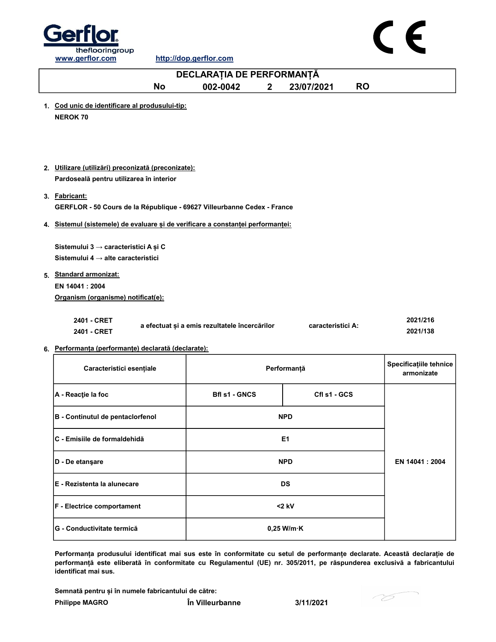



|                                                                                                 | DECLARAȚIA DE PERFORMANȚĂ                     |              |                      |           |                                      |
|-------------------------------------------------------------------------------------------------|-----------------------------------------------|--------------|----------------------|-----------|--------------------------------------|
| <b>No</b>                                                                                       | 002-0042                                      | $\mathbf{2}$ | 23/07/2021           | <b>RO</b> |                                      |
| 1. Cod unic de identificare al produsului-tip:<br><b>NEROK 70</b>                               |                                               |              |                      |           |                                      |
|                                                                                                 |                                               |              |                      |           |                                      |
| 2. Utilizare (utilizări) preconizată (preconizate):<br>Pardoseală pentru utilizarea în interior |                                               |              |                      |           |                                      |
| 3. Fabricant:                                                                                   |                                               |              |                      |           |                                      |
| GERFLOR - 50 Cours de la République - 69627 Villeurbanne Cedex - France                         |                                               |              |                      |           |                                      |
| 4. Sistemul (sistemele) de evaluare și de verificare a constanței performanței:                 |                                               |              |                      |           |                                      |
| Sistemului 3 → caracteristici A și C<br>Sistemului 4 $\rightarrow$ alte caracteristici          |                                               |              |                      |           |                                      |
| 5. Standard armonizat:                                                                          |                                               |              |                      |           |                                      |
| EN 14041 : 2004                                                                                 |                                               |              |                      |           |                                      |
| Organism (organisme) notificat(e):                                                              |                                               |              |                      |           |                                      |
| 2401 - CRET<br>2401 - CRET                                                                      | a efectuat și a emis rezultatele încercărilor |              | caracteristici A:    |           | 2021/216<br>2021/138                 |
| 6. Performanța (performanțe) declarată (declarate):                                             |                                               |              |                      |           |                                      |
| Caracteristici esențiale                                                                        |                                               |              | Performanță          |           | Specificațiile tehnice<br>armonizate |
| A - Reacție la foc                                                                              | <b>Bfl s1 - GNCS</b>                          |              | CfI s1 - GCS         |           |                                      |
| B - Continutul de pentaclorfenol                                                                |                                               |              | <b>NPD</b>           |           |                                      |
| C - Emisiile de formaldehidă                                                                    |                                               |              | E <sub>1</sub>       |           |                                      |
| D - De etanşare                                                                                 |                                               |              | <b>NPD</b>           |           | EN 14041 : 2004                      |
| E - Rezistenta la alunecare                                                                     |                                               |              | DS                   |           |                                      |
| F - Electrice comportament                                                                      |                                               |              | <2 kV                |           |                                      |
| G - Conductivitate termică                                                                      |                                               |              | $0,25$ W/m $\cdot$ K |           |                                      |

Performanța produsului identificat mai sus este în conformitate cu setul de performanțe declarate. Această declarație de performanță este eliberată în conformitate cu Regulamentul (UE) nr. 305/2011, pe răspunderea exclusivă a fabricantului identificat mai sus.

Semnată pentru și în numele fabricantului de către:

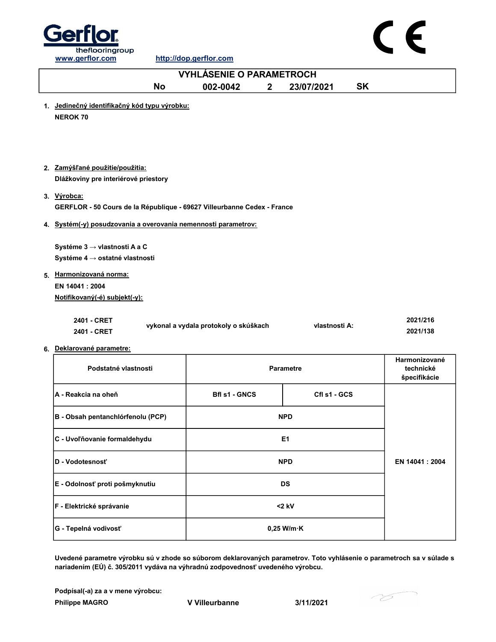



| <b>VYHLÁSENIE O PARAMETROCH</b>                                                                                                                           |                                       |                  |           |                           |  |  |
|-----------------------------------------------------------------------------------------------------------------------------------------------------------|---------------------------------------|------------------|-----------|---------------------------|--|--|
| <b>No</b>                                                                                                                                                 | 002-0042<br>$\mathbf{2}$              | 23/07/2021       | <b>SK</b> |                           |  |  |
| 1. Jedinečný identifikačný kód typu výrobku:<br><b>NEROK 70</b>                                                                                           |                                       |                  |           |                           |  |  |
| 2. Zamýšľané použitie/použitia:<br>Dlážkoviny pre interiérové priestory                                                                                   |                                       |                  |           |                           |  |  |
| 3. Výrobca:<br>GERFLOR - 50 Cours de la République - 69627 Villeurbanne Cedex - France                                                                    |                                       |                  |           |                           |  |  |
| 4. Systém(-y) posudzovania a overovania nemennosti parametrov:                                                                                            |                                       |                  |           |                           |  |  |
| Systéme 3 $\rightarrow$ vlastnosti A a C<br>Systéme 4 → ostatné vlastnosti<br>5. Harmonizovaná norma:<br>EN 14041 : 2004<br>Notifikovaný(-é) subjekt(-y): |                                       |                  |           |                           |  |  |
| 2401 - CRET<br>2401 - CRET                                                                                                                                | vykonal a vydala protokoly o skúškach | vlastnosti A:    |           | 2021/216<br>2021/138      |  |  |
| 6. Deklarované parametre:                                                                                                                                 |                                       |                  |           | Harmonizované             |  |  |
| Podstatné vlastnosti                                                                                                                                      |                                       | <b>Parametre</b> |           | technické<br>špecifikácie |  |  |
| A - Reakcia na oheň                                                                                                                                       | <b>Bfl s1 - GNCS</b>                  | Cfl s1 - GCS     |           |                           |  |  |
| B - Obsah pentanchlórfenolu (PCP)                                                                                                                         |                                       | <b>NPD</b>       |           |                           |  |  |
| C - Uvoľňovanie formaldehydu                                                                                                                              |                                       | E <sub>1</sub>   |           |                           |  |  |
| D - Vodotesnosť                                                                                                                                           |                                       | <b>NPD</b>       |           | EN 14041 : 2004           |  |  |
| E - Odolnosť proti pošmyknutiu                                                                                                                            |                                       | <b>DS</b>        |           |                           |  |  |
| F - Elektrické správanie                                                                                                                                  |                                       | $<$ 2 kV         |           |                           |  |  |

Uvedené parametre výrobku sú v zhode so súborom deklarovaných parametrov. Toto vyhlásenie o parametroch sa v súlade s nariadením (EÚ) č. 305/2011 vydáva na výhradnú zodpovednosť uvedeného výrobcu.

0,25 W/m·K

Philippe MAGRO **V** Villeurbanne 3/11/2021 Podpísal(-a) za a v mene výrobcu:

G - Tepelná vodivosť

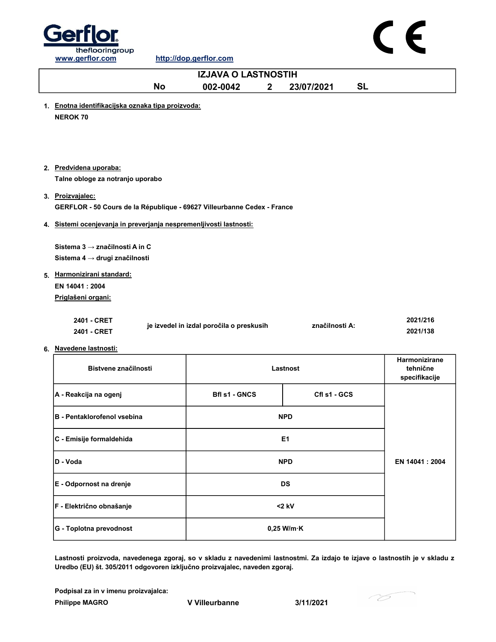

# $\epsilon$

| <b>IZJAVA O LASTNOSTIH</b>                                                  |                                          |                |           |                                            |  |  |
|-----------------------------------------------------------------------------|------------------------------------------|----------------|-----------|--------------------------------------------|--|--|
| <b>No</b>                                                                   | 002-0042<br>$\mathbf{2}$                 | 23/07/2021     | <b>SL</b> |                                            |  |  |
| 1. Enotna identifikacijska oznaka tipa proizvoda:<br><b>NEROK 70</b>        |                                          |                |           |                                            |  |  |
| 2. Predvidena uporaba:<br>Talne obloge za notranjo uporabo                  |                                          |                |           |                                            |  |  |
| 3. Proizvajalec:                                                            |                                          |                |           |                                            |  |  |
| GERFLOR - 50 Cours de la République - 69627 Villeurbanne Cedex - France     |                                          |                |           |                                            |  |  |
| 4. Sistemi ocenjevanja in preverjanja nespremenljivosti lastnosti:          |                                          |                |           |                                            |  |  |
| Sistema 3 $\rightarrow$ značilnosti A in C<br>Sistema 4 → drugi značilnosti |                                          |                |           |                                            |  |  |
| 5. Harmonizirani standard:                                                  |                                          |                |           |                                            |  |  |
| EN 14041: 2004                                                              |                                          |                |           |                                            |  |  |
| Priglašeni organi:                                                          |                                          |                |           |                                            |  |  |
| 2401 - CRET<br>2401 - CRET                                                  | je izvedel in izdal poročila o preskusih | značilnosti A: |           | 2021/216<br>2021/138                       |  |  |
| 6. Navedene lastnosti:                                                      |                                          |                |           |                                            |  |  |
| Bistvene značilnosti                                                        |                                          | Lastnost       |           | Harmonizirane<br>tehnične<br>specifikacije |  |  |
| A - Reakcija na ogenj                                                       | <b>Bfl s1 - GNCS</b>                     | Cfl s1 - GCS   |           |                                            |  |  |
| <b>B</b> - Pentaklorofenol vsebina                                          |                                          | <b>NPD</b>     |           |                                            |  |  |
| C - Emisije formaldehida                                                    |                                          | E <sub>1</sub> |           |                                            |  |  |
| D - Voda                                                                    |                                          | <b>NPD</b>     |           | EN 14041 : 2004                            |  |  |
| E - Odpornost na drenje                                                     |                                          | <b>DS</b>      |           |                                            |  |  |
| F - Električno obnašanje                                                    |                                          | $<$ 2 kV       |           |                                            |  |  |

Lastnosti proizvoda, navedenega zgoraj, so v skladu z navedenimi lastnostmi. Za izdajo te izjave o lastnostih je v skladu z Uredbo (EU) št. 305/2011 odgovoren izključno proizvajalec, naveden zgoraj.

Philippe MAGRO V Villeurbanne 3/11/2021 Podpisal za in v imenu proizvajalca:

G - Toplotna prevodnost 0,25 W/m·K

76